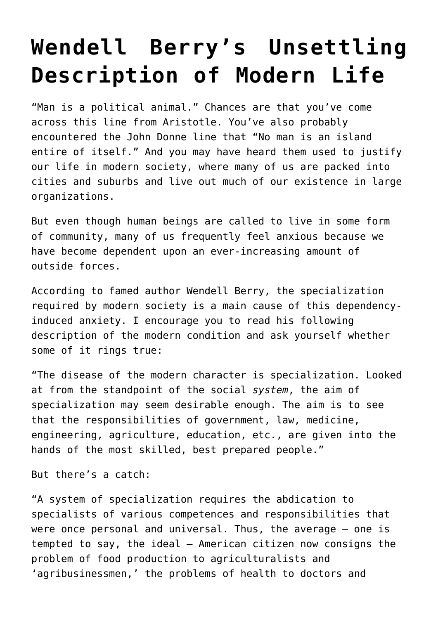## **[Wendell Berry's Unsettling](https://intellectualtakeout.org/2015/07/wendell-berrys-unsettling-description-of-modern-life/) [Description of Modern Life](https://intellectualtakeout.org/2015/07/wendell-berrys-unsettling-description-of-modern-life/)**

"Man is a political animal." Chances are that you've come across this line from Aristotle. You've also probably encountered the John Donne line that "No man is an island entire of itself." And you may have heard them used to justify our life in modern society, where many of us are packed into cities and suburbs and live out much of our existence in large organizations.

But even though human beings are called to live in some form of community, many of us frequently feel anxious because we have become dependent upon an ever-increasing amount of outside forces.

According to famed author Wendell Berry, the specialization required by modern society is a main cause of this dependencyinduced anxiety. I encourage you to read his following description of the modern condition and ask yourself whether some of it rings true:

"The disease of the modern character is specialization. Looked at from the standpoint of the social *system*, the aim of specialization may seem desirable enough. The aim is to see that the responsibilities of government, law, medicine, engineering, agriculture, education, etc., are given into the hands of the most skilled, best prepared people."

But there's a catch:

"A system of specialization requires the abdication to specialists of various competences and responsibilities that were once personal and universal. Thus, the average – one is tempted to say, the ideal – American citizen now consigns the problem of food production to agriculturalists and 'agribusinessmen,' the problems of health to doctors and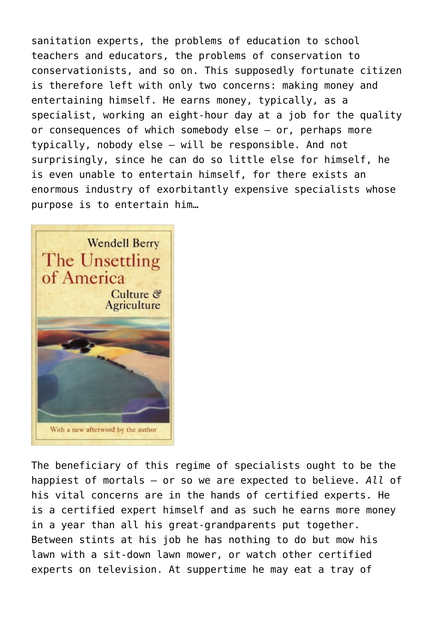sanitation experts, the problems of education to school teachers and educators, the problems of conservation to conservationists, and so on. This supposedly fortunate citizen is therefore left with only two concerns: making money and entertaining himself. He earns money, typically, as a specialist, working an eight-hour day at a job for the quality or consequences of which somebody else – or, perhaps more typically, nobody else – will be responsible. And not surprisingly, since he can do so little else for himself, he is even unable to entertain himself, for there exists an enormous industry of exorbitantly expensive specialists whose purpose is to entertain him…



The beneficiary of this regime of specialists ought to be the happiest of mortals – or so we are expected to believe. *All* of his vital concerns are in the hands of certified experts. He is a certified expert himself and as such he earns more money in a year than all his great-grandparents put together. Between stints at his job he has nothing to do but mow his lawn with a sit-down lawn mower, or watch other certified experts on television. At suppertime he may eat a tray of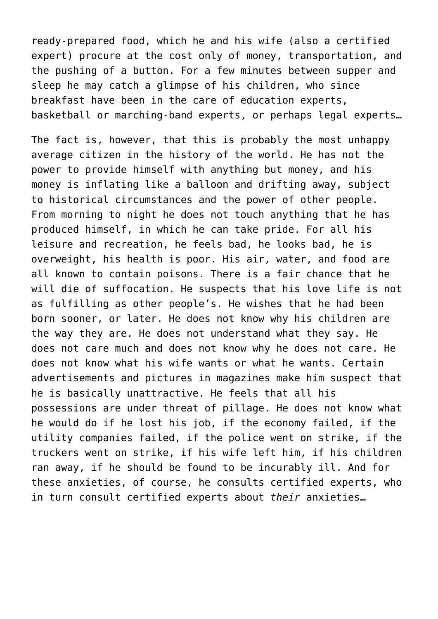ready-prepared food, which he and his wife (also a certified expert) procure at the cost only of money, transportation, and the pushing of a button. For a few minutes between supper and sleep he may catch a glimpse of his children, who since breakfast have been in the care of education experts, basketball or marching-band experts, or perhaps legal experts…

The fact is, however, that this is probably the most unhappy average citizen in the history of the world. He has not the power to provide himself with anything but money, and his money is inflating like a balloon and drifting away, subject to historical circumstances and the power of other people. From morning to night he does not touch anything that he has produced himself, in which he can take pride. For all his leisure and recreation, he feels bad, he looks bad, he is overweight, his health is poor. His air, water, and food are all known to contain poisons. There is a fair chance that he will die of suffocation. He suspects that his love life is not as fulfilling as other people's. He wishes that he had been born sooner, or later. He does not know why his children are the way they are. He does not understand what they say. He does not care much and does not know why he does not care. He does not know what his wife wants or what he wants. Certain advertisements and pictures in magazines make him suspect that he is basically unattractive. He feels that all his possessions are under threat of pillage. He does not know what he would do if he lost his job, if the economy failed, if the utility companies failed, if the police went on strike, if the truckers went on strike, if his wife left him, if his children ran away, if he should be found to be incurably ill. And for these anxieties, of course, he consults certified experts, who in turn consult certified experts about *their* anxieties…